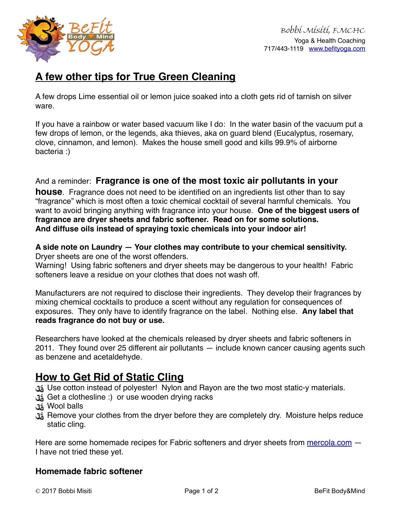

# **A few other tips for True Green Cleaning**

A few drops Lime essential oil or lemon juice soaked into a cloth gets rid of tarnish on silver ware.

If you have a rainbow or water based vacuum like I do: In the water basin of the vacuum put a few drops of lemon, or the legends, aka thieves, aka on guard blend (Eucalyptus, rosemary, clove, cinnamon, and lemon). Makes the house smell good and kills 99.9% of airborne bacteria :)

## And a reminder: **Fragrance is one of the most toxic air pollutants in your**

**house**. Fragrance does not need to be identified on an ingredients list other than to say "fragrance" which is most often a toxic chemical cocktail of several harmful chemicals. You want to avoid bringing anything with fragrance into your house. **One of the biggest users of fragrance are dryer sheets and fabric softener. Read on for some solutions. And diffuse oils instead of spraying toxic chemicals into your indoor air!**

### **A side note on Laundry — Your clothes may contribute to your chemical sensitivity.** Dryer sheets are one of the worst offenders.

Warning! Using fabric softeners and dryer sheets may be dangerous to your health! Fabric softeners leave a residue on your clothes that does not wash off.

Manufacturers are not required to disclose their ingredients. They develop their fragrances by mixing chemical cocktails to produce a scent without any regulation for consequences of exposures. They only have to identify fragrance on the label. Nothing else. **Any label that reads fragrance do not buy or use.**

Researchers have looked at the chemicals released by dryer sheets and fabric softeners in 2011. They found over 25 different air pollutants — include known cancer causing agents such as benzene and acetaldehyde.

# **How to Get Rid of Static Cling**

لَّذِي Use cotton instead of polyester! Nylon and Rayon are the two most static-y materials.

- Get a clothesline :) or use wooden drying racks
- Wool balls
- Remove your clothes from the dryer before they are completely dry. Moisture helps reduce static cling.

Here are some homemade recipes for Fabric softeners and dryer sheets from [mercola.com](http://marcela.com) – I have not tried these yet.

### **Homemade fabric softener**